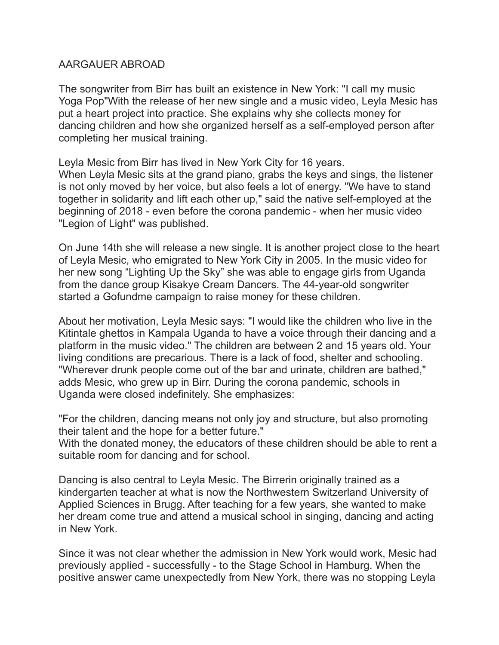## AARGAUER ABROAD

The songwriter from Birr has built an existence in New York: "I call my music Yoga Pop"With the release of her new single and a music video, Leyla Mesic has put a heart project into practice. She explains why she collects money for dancing children and how she organized herself as a self-employed person after completing her musical training.

Leyla Mesic from Birr has lived in New York City for 16 years. When Leyla Mesic sits at the grand piano, grabs the keys and sings, the listener is not only moved by her voice, but also feels a lot of energy. "We have to stand together in solidarity and lift each other up," said the native self-employed at the beginning of 2018 - even before the corona pandemic - when her music video "Legion of Light" was published.

On June 14th she will release a new single. It is another project close to the heart of Leyla Mesic, who emigrated to New York City in 2005. In the music video for her new song "Lighting Up the Sky" she was able to engage girls from Uganda from the dance group Kisakye Cream Dancers. The 44-year-old songwriter started a Gofundme campaign to raise money for these children.

About her motivation, Leyla Mesic says: "I would like the children who live in the Kitintale ghettos in Kampala Uganda to have a voice through their dancing and a platform in the music video." The children are between 2 and 15 years old. Your living conditions are precarious. There is a lack of food, shelter and schooling. "Wherever drunk people come out of the bar and urinate, children are bathed," adds Mesic, who grew up in Birr. During the corona pandemic, schools in Uganda were closed indefinitely. She emphasizes:

"For the children, dancing means not only joy and structure, but also promoting their talent and the hope for a better future."

With the donated money, the educators of these children should be able to rent a suitable room for dancing and for school.

Dancing is also central to Leyla Mesic. The Birrerin originally trained as a kindergarten teacher at what is now the Northwestern Switzerland University of Applied Sciences in Brugg. After teaching for a few years, she wanted to make her dream come true and attend a musical school in singing, dancing and acting in New York.

Since it was not clear whether the admission in New York would work, Mesic had previously applied - successfully - to the Stage School in Hamburg. When the positive answer came unexpectedly from New York, there was no stopping Leyla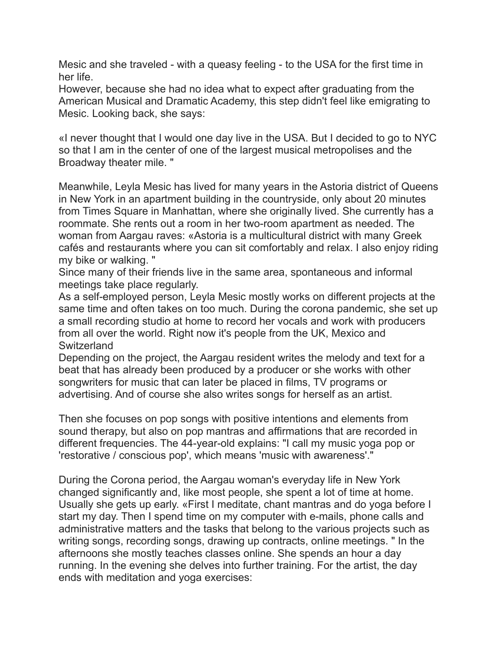Mesic and she traveled - with a queasy feeling - to the USA for the first time in her life.

However, because she had no idea what to expect after graduating from the American Musical and Dramatic Academy, this step didn't feel like emigrating to Mesic. Looking back, she says:

«I never thought that I would one day live in the USA. But I decided to go to NYC so that I am in the center of one of the largest musical metropolises and the Broadway theater mile. "

Meanwhile, Leyla Mesic has lived for many years in the Astoria district of Queens in New York in an apartment building in the countryside, only about 20 minutes from Times Square in Manhattan, where she originally lived. She currently has a roommate. She rents out a room in her two-room apartment as needed. The woman from Aargau raves: «Astoria is a multicultural district with many Greek cafés and restaurants where you can sit comfortably and relax. I also enjoy riding my bike or walking. "

Since many of their friends live in the same area, spontaneous and informal meetings take place regularly.

As a self-employed person, Leyla Mesic mostly works on different projects at the same time and often takes on too much. During the corona pandemic, she set up a small recording studio at home to record her vocals and work with producers from all over the world. Right now it's people from the UK, Mexico and Switzerland

Depending on the project, the Aargau resident writes the melody and text for a beat that has already been produced by a producer or she works with other songwriters for music that can later be placed in films, TV programs or advertising. And of course she also writes songs for herself as an artist.

Then she focuses on pop songs with positive intentions and elements from sound therapy, but also on pop mantras and affirmations that are recorded in different frequencies. The 44-year-old explains: "I call my music yoga pop or 'restorative / conscious pop', which means 'music with awareness'."

During the Corona period, the Aargau woman's everyday life in New York changed significantly and, like most people, she spent a lot of time at home. Usually she gets up early. «First I meditate, chant mantras and do yoga before I start my day. Then I spend time on my computer with e-mails, phone calls and administrative matters and the tasks that belong to the various projects such as writing songs, recording songs, drawing up contracts, online meetings. " In the afternoons she mostly teaches classes online. She spends an hour a day running. In the evening she delves into further training. For the artist, the day ends with meditation and yoga exercises: